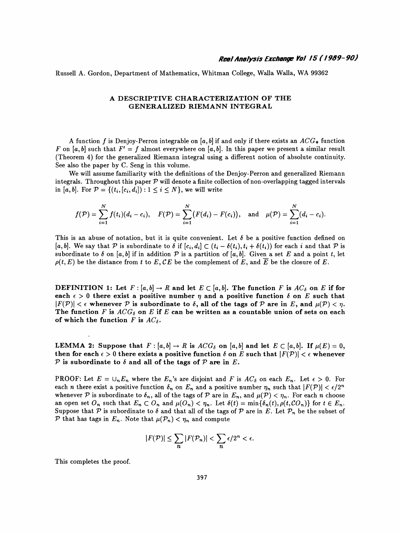Russell A. Gordon, Department of Mathematics, Whitman College, Walla Walla, WA 99362

## A DESCRIPTIVE CHARACTERIZATION OF THE GENERALIZED RIEMANN INTEGRAL

A function f is Denjoy-Perron integrable on [a, b] if and only if there exists an  $ACG_*$  function F on [a, b] such that  $F' = f$  almost everywhere on [a, b]. In this paper we present a similar result (Theorem 4) for the generalized Riemann integral using a different notion of absolute continuity. See also the paper by C. Seng in this volume. A DESCRIPTIVE CHARACTERIZATION OF THE<br>
GENERALIZED RIEMANN INTEGRAL<br>
function *f* is Denjoy-Perron integrable on [*a, b*] if and only if there exists an *ACG*<sub>\*</sub> function<br> *a, b*] such that  $F' = f$  almost everywhere on [*a* 

 We will assume familiarity with the definitions of the Denjoy-Perron and generalized Riemann integrals. Throughout this paper  $\mathcal P$  will denote a finite collection of non-overlapping tagged intervals in [a, b]. For  $\mathcal{P} = \{(t_i, [c_i, d_i]) : 1 \leq i \leq N\}$ , we will write ber by C. Seng in this volume.<br>
ume familiarity with the definitions of the Denjoy-Perron and gene<br>
ughout this paper  $P$  will denote a finite collection of non-overlapping<br>  $=\{(t_i,[c_i,d_i]): 1 \leq i \leq N\}$ , we will write<br>  $\sum_{i=$ 

$$
f(\mathcal{P}) = \sum_{i=1}^{N} f(t_i)(d_i - c_i), \quad F(\mathcal{P}) = \sum_{i=1}^{N} (F(d_i) - F(c_i)), \text{ and } \mu(\mathcal{P}) = \sum_{i=1}^{N} (d_i - c_i)
$$

 $f(\mathcal{P}) = \sum_{i=1}^{N} f(t_i)(d_i - c_i)$ ,  $F(\mathcal{P}) = \sum_{i=1}^{N} (F(d_i) - F(c_i))$ , and  $\mu(\mathcal{P}) = \sum_{i=1}^{N} (d_i - c_i)$ .<br>This is an abuse of notation, but it is quite convenient. Let  $\delta$  be a positive function defined on  $[a, b]$ . We say that  $\$ In [a, o]. For  $P = \{ (i_i, [c_i, a_i]) : 1 \le i \le N \}$ , we will write<br>  $f(\mathcal{P}) = \sum_{i=1}^N f(t_i)(d_i - c_i)$ ,  $F(\mathcal{P}) = \sum_{i=1}^N (F(d_i) - F(c_i))$ , and  $\mu(\mathcal{P}) = \sum_{i=1}^N (d_i - c_i)$ .<br>
This is an abuse of notation, but it is quite convenient. Let  $\delta$  $f(\mathcal{P}) = \sum_{i=1}^{N} f(t_i)(d_i - c_i)$ ,  $F(\mathcal{P}) = \sum_{i=1}^{N} (F(d_i) - F(c_i))$ , and  $\mu(\mathcal{P}) = \sum_{i=1}^{N} (d_i - c_i)$ .<br>This is an abuse of notation, but it is quite convenient. Let  $\delta$  be a positive function defined on  $[a, b]$ . We say that  $\$ This is an abuse of notation, but it is quite convenient. Let  $\delta$  be a positive function defined on  $[a, b]$ . We say that  $\mathcal P$  is subordinate to  $\delta$  if  $[c_i, d_i] \subset (t_i - \delta(t_i), t_i + \delta(t_i))$  for each  $i$  and that  $\mathcal P$  is subordi This is an abuse of notation, but it is quite convenient. Let  $\delta$  be a positive function defined on  $[a, b]$ . We say that  $\mathcal P$  is subordinate to  $\delta$  if  $[c_i, d_i] \subset (t_i - \delta(t_i), t_i + \delta(t_i))$  for each  $i$  and that  $\mathcal P$  is subordi

each  $\epsilon > 0$  there exist a positive number  $\eta$  and a positive function  $\delta$  on E such that  $|F(\mathcal{P})| < \epsilon$  whenever  $\mathcal P$  is subordinate to  $\delta$ , all of the tags of  $\mathcal P$  are in E, and  $\mu(\mathcal{P}) < \eta$ . The function F is  $ACG_{\delta}$  on E if E can be written as a countable union of sets on each of which the function F is  $AC_{\delta}$ .

LEMMA 2: Suppose that  $F : [a, b] \to R$  is  $ACG_{\delta}$  on  $[a, b]$  and let  $E \subset [a, b]$ . If  $\mu(E) = 0$ , then for each  $\epsilon > 0$  there exists a positive function  $\delta$  on E such that  $|F(\mathcal{P})| < \epsilon$  whenever P is subordinate to  $\delta$  and all of the tags of P are in E.

PROOF: Let  $E = \bigcup_n E_n$  where the  $E_n$ 's are disjoint and F is  $AC_\delta$  on each  $E_n$ . Let  $\epsilon > 0$ . For each *n* there exist a positive function  $\delta_n$  on  $E_n$  and a positive number  $\eta_n$  such that  $|F(\mathcal{P})| < \epsilon/2^n$ whenever P is subordinate to  $\delta_n$ , all of the tags of P are in  $E_n$ , and  $\mu(\mathcal{P}) < \eta_n$ . For each n choose an open set  $O_n$  such that  $E_n \subset O_n$  and  $\mu(O_n) < \eta_n$ . Let  $\delta(t) = \min{\{\delta_n(t), \rho(t, CO_n)\}}$  for  $t \in E_n$ . Suppose that P is subordinate to  $\delta$  and that all of the tags of P are in E. Let  $\mathcal{P}_n$  be the subset of P that has tags in  $E_n$ . Note that  $\mu(\mathcal{P}_n) < \eta_n$  and compute

$$
|F(\mathcal{P})| \le \sum_{n} |F(\mathcal{P}_n)| < \sum_{n} \epsilon/2^n < \epsilon.
$$
 This completes the proof.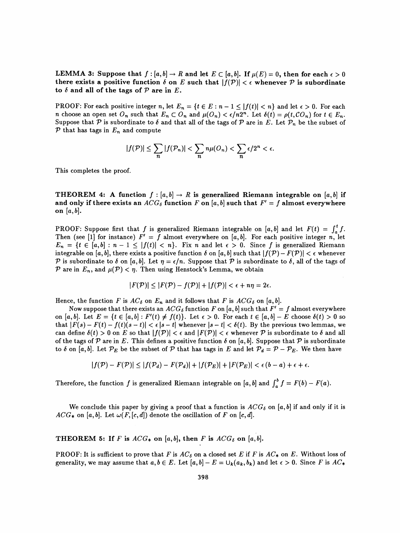LEMMA 3: Suppose that  $f : [a, b] \to R$  and let  $E \subset [a, b]$ . If  $\mu(E) = 0$ , then for each  $\epsilon > 0$ there exists a positive function  $\delta$  on E such that  $|f(\mathcal{P})| < \epsilon$  whenever  $\mathcal P$  is subordinate to  $\delta$  and all of the tags of  $\mathcal P$  are in  $E$ .

PROOF: For each positive integer n, let  $E_n = \{t \in E : n - 1 \leq |f(t)| < n\}$  and let  $\epsilon > 0$ . For each n choose an open set  $O_n$  such that  $E_n \subset O_n$  and  $\mu(O_n) < \epsilon/n2^n$ . Let  $\delta(t) = \rho(t, CO_n)$  for  $t \in E_n$ . Suppose that  $P$  is subordinate to  $\delta$  and that all of the tags of  $P$  are in E. Let  $P_n$  be the subset of  $\mathcal P$  that has tags in  $E_n$  and compute

$$
|f(\mathcal{P})| \le \sum_{n} |f(\mathcal{P}_n)| < \sum_{n} n\mu(O_n) < \sum_{n} \epsilon/2^n < \epsilon.
$$
 This completes the proof.

This completes the proof.<br>
THEOREM 4: A function  $f : [a, b] \to R$  is generalized Riemann integrable on  $[a, b]$  if<br>
and only if there exists an  $ACG_{\delta}$  function  $F$  on  $[a, b]$  such that  $F' = f$  almost everywhere<br>
on  $[a, b]$ . This completes the proof.<br>THEOREM 4: A function  $f : [a, b] \to R$  is generalized Riemann integrable on  $[a, b]$  if<br>and only if there exists an  $ACG_{\delta}$  function  $F$  on  $[a, b]$  such that  $F' = f$  almost everywhere<br>on  $[a, b]$ . on  $[a, b]$ .

PROOF: Suppose first that f is generalized Riemann integrable on [a, b] and let  $F(t) = \int_a^t f$ . Then (see [1] for instance)  $F' = f$  almost everywhere on [a, b]. For each positive integer n, let  $E_n = \{t \in [a, b] : n - 1 \leq |f(t)| < n\}.$  Fix n and let  $\epsilon > 0$ . Since f is generalized Riemann integrable on [a, b], there exists a positive function  $\delta$  on [a, b] such that  $|f(\mathcal{P}) - F(\mathcal{P})| < \epsilon$  whenever P is subordinate to  $\delta$  on [a, b]. Let  $\eta = \epsilon/n$ . Suppose that P is subordinate to  $\delta$ , all of the tags of P are in  $E_n$ , and  $\mu({\cal P}) < \eta$ . Then using Henstock's Lemma, we obtain

$$
|F(\mathcal{P})| \leq |F(\mathcal{P}) - f(\mathcal{P})| + |f(\mathcal{P})| < \epsilon + n\eta = 2\epsilon.
$$

Hence, the function F is  $AC_{\delta}$  on  $E_n$  and it follows that F is  $ACG_{\delta}$  on [a, b].

Now suppose that there exists an  $ACG_{\delta}$  function F on [a, b] such that  $F' = f$  almost everywhere on [a, b]. Let  $E = \{t \in [a, b] : F'(t) \neq f(t)\}$ . Let  $\epsilon > 0$ . For each  $t \in [a, b] - E$  choose  $\delta(t) > 0$  so that  $|F(s) - F(t) - f(t)(s - t)| < \epsilon |s - t|$  whenever  $|s - t| < \delta(t)$ . By the previous two lemmas, we can define  $\delta(t) > 0$  on E so that  $|f(\mathcal{P})| < \epsilon$  and  $|F(\mathcal{P})| < \epsilon$  whenever P is subordinate to  $\delta$  and all of the tags of  $P$  are in  $E$ . This defines a positive function  $\delta$  on  $[a, b]$ . Suppose that  $P$  is subordinate to  $\delta$  on [a, b]. Let  $\mathcal{P}_E$  be the subset of  $\mathcal P$  that has tags in E and let  $\mathcal{P}_d = \mathcal{P} - \mathcal{P}_E$ . We then have

$$
|f(\mathcal{P}) - F(\mathcal{P})| \le |f(\mathcal{P}_d) - F(\mathcal{P}_d)| + |f(\mathcal{P}_E)| + |F(\mathcal{P}_E)| < \epsilon (b - a) + \epsilon + \epsilon.
$$

Therefore, the function f is generalized Riemann integrable on [a, b] and  $\int_a^b f = F(b) - F(a)$ .

We conclude this paper by giving a proof that a function is  $ACG_{\delta}$  on [a, b] if and only if it is  $ACG_*$  on [a, b]. Let  $\omega(F,[c,d])$  denote the oscillation of F on [c, d].

THEOREM 5: If F is  $ACG_*$  on [a, b], then F is  $ACG_{\delta}$  on [a, b].

PROOF: It is sufficient to prove that F is  $AC_{\delta}$  on a closed set E if F is  $AC_{*}$  on E. Without loss of generality, we may assume that  $a,b \in E$ . Let  $[a,b] - E = \bigcup_k (a_k,b_k)$  and let  $\epsilon > 0$ . Since F is  $AC_*$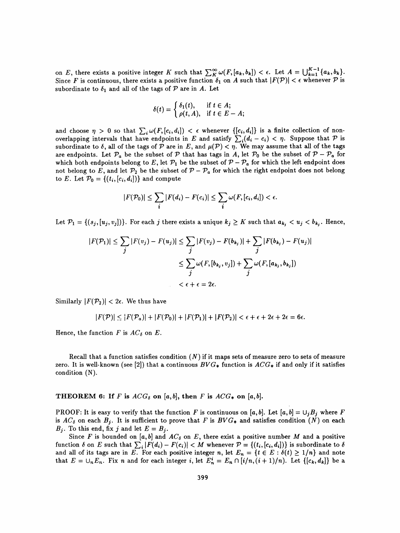on E, there exists a positive integer K such that  $\sum_{K}^{\infty} \omega(F, [a_k, b_k]) < \epsilon$ . Let  $A = \bigcup_{k=1}^{K-1} \{a_k, b_k\}.$ Since F is continuous, there exists a positive function  $\delta_1$  on A such that  $|F(\mathcal{P})| < \epsilon$  whenever P is subordinate to  $\delta_1$  and all of the tags of P are in A. Let

$$
\delta(t) = \begin{cases} \delta_1(t), & \text{if } t \in A; \\ \rho(t, A), & \text{if } t \in E - A; \end{cases}
$$

and choose  $\eta > 0$  so that  $\sum_i \omega(F_i[c_i, d_i]) < \epsilon$  whenever  $\{[c_i, d_i]\}$  is a finite collection of nonoverlapping intervals that have endpoints in E and satisfy  $\sum_i(d_i - c_i) < \eta$ . Suppose that P is subordinate to  $\delta$ , all of the tags of  $\mathcal P$  are in E, and  $\mu(\mathcal P) < \eta$ . We may assume that all of the tags are endpoints. Let  $\mathcal{P}_a$  be the subset of  $\mathcal P$  that has tags in A, let  $\mathcal{P}_0$  be the subset of  $\mathcal P - \mathcal{P}_a$  for which both endpoints belong to E, let  $\mathcal{P}_1$  be the subset of  $\mathcal{P} - \mathcal{P}_a$  for which the left endpoint does not belong to E, and let  $\mathcal{P}_2$  be the subset of  $\mathcal{P} - \mathcal{P}_a$  for which the right endpoint does not belong to E. Let  $\mathcal{P}_0 = \{(t_i, [c_i, d_i])\}$  and compute

to E. Let 
$$
\mathcal{P}_0 = \{(t_i, [c_i, d_i])\}
$$
 and compute  
\n
$$
|F(\mathcal{P}_0)| \le \sum_i |F(d_i) - F(c_i)| \le \sum_i \omega(F, [c_i, d_i]) < \epsilon.
$$
\nLet  $\mathcal{P}_1 = \{(s_j, [u_j, v_j])\}$ . For each  $j$  there exists a unique  $k_j \ge K$  such that  $a_{k_j} < u_j < b_{k_j}$ . Hence,

Let  $\mathcal{P}_1 = \{(s_j, [u_j, v_j])\}$ . For each j there exists a unique  $k_j \geq K$  such that  $a_{k_j} < u_j < b_{k_j}$ . Hence,

$$
P_0 = \{(t_i, [c_i, d_i])\} \text{ and compute}
$$
\n
$$
|F(\mathcal{P}_0)| \le \sum_i |F(d_i) - F(c_i)| \le \sum_i \omega(F, [c_i, d_i]) < \epsilon.
$$
\n
$$
(s_j, [u_j, v_j])\}.
$$
 For each  $j$  there exists a unique  $k_j \ge K$  such that  $a_{k_j} < u_j < b_{k_j}$ . Hence,\n
$$
|F(\mathcal{P}_1)| \le \sum_j |F(v_j) - F(u_j)| \le \sum_j |F(v_j) - F(b_{k_j})| + \sum_j |F(b_{k_j}) - F(u_j)|
$$
\n
$$
\le \sum_j \omega(F, [b_{k_j}, v_j]) + \sum_j \omega(F, [a_{k_j}, b_{k_j}])
$$
\n
$$
< \epsilon + \epsilon = 2\epsilon.
$$

Similarly  $|F(\mathcal{P}_2)| < 2\epsilon$ . We thus have

$$
|F(\mathcal{P})| \leq |F(\mathcal{P}_a)| + |F(\mathcal{P}_0)| + |F(\mathcal{P}_1)| + |F(\mathcal{P}_2)| < \epsilon + \epsilon + 2\epsilon + 2\epsilon = 6\epsilon.
$$

Hence, the function F is  $AC_{\delta}$  on E.

Recall that a function satisfies condition  $(N)$  if it maps sets of measure zero to sets of measure zero. It is well-known (see [2]) that a continuous  $BVG_*$  function is  $ACG_*$  if and only if it satisfies condition (N).

THEOREM 6: If F is  $ACG_{\delta}$  on [a, b], then F is  $ACG_{*}$  on [a, b].

PROOF: It is easy to verify that the function F is continuous on [a, b]. Let [a, b] =  $\cup_j B_j$  where F is  $AC_{\delta}$  on each  $B_i$ . It is sufficient to prove that F is  $BVG_*$  and satisfies condition (N) on each  $B_j$ . To this end, fix j and let  $E = B_j$ .

Since F is bounded on [a, b] and  $AC_{\delta}$  on E, there exist a positive number M and a positive function  $\delta$  on E such that  $\sum_i |F(d_i) - F(c_i)| < M$  whenever  $\mathcal{V} = \{(t_i,[c_i,a_i])\}$  is subordinate to  $\delta$ and all of its tags are in E. For each positive integer n, let  $E_n = \{t \in E : \delta(t) \geq 1/n\}$  and note that  $E = \bigcup_n E_n$ . Fix n and for each integer i, let  $E_n^i = E_n \cap [i/n, (i+1)/n)$ . Let  $\{[c_k, d_k]\}$  be a